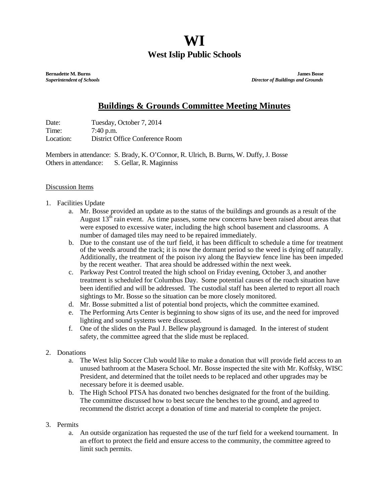## **WI West Islip Public Schools**

**Bernadette M. Burns James Bosse** *Superintendent of Schools**Director of Buildings and Grounds*

## **Buildings & Grounds Committee Meeting Minutes**

Date: Tuesday, October 7, 2014 Time: 7:40 p.m. Location: District Office Conference Room

Members in attendance: S. Brady, K. O'Connor, R. Ulrich, B. Burns, W. Duffy, J. Bosse Others in attendance: S. Gellar, R. Maginniss

## Discussion Items

- 1. Facilities Update
	- a. Mr. Bosse provided an update as to the status of the buildings and grounds as a result of the August  $13<sup>th</sup>$  rain event. As time passes, some new concerns have been raised about areas that were exposed to excessive water, including the high school basement and classrooms. A number of damaged tiles may need to be repaired immediately.
	- b. Due to the constant use of the turf field, it has been difficult to schedule a time for treatment of the weeds around the track; it is now the dormant period so the weed is dying off naturally. Additionally, the treatment of the poison ivy along the Bayview fence line has been impeded by the recent weather. That area should be addressed within the next week.
	- c. Parkway Pest Control treated the high school on Friday evening, October 3, and another treatment is scheduled for Columbus Day. Some potential causes of the roach situation have been identified and will be addressed. The custodial staff has been alerted to report all roach sightings to Mr. Bosse so the situation can be more closely monitored.
	- d. Mr. Bosse submitted a list of potential bond projects, which the committee examined.
	- e. The Performing Arts Center is beginning to show signs of its use, and the need for improved lighting and sound systems were discussed.
	- f. One of the slides on the Paul J. Bellew playground is damaged. In the interest of student safety, the committee agreed that the slide must be replaced.
- 2. Donations
	- a. The West Islip Soccer Club would like to make a donation that will provide field access to an unused bathroom at the Masera School. Mr. Bosse inspected the site with Mr. Koffsky, WISC President, and determined that the toilet needs to be replaced and other upgrades may be necessary before it is deemed usable.
	- b. The High School PTSA has donated two benches designated for the front of the building. The committee discussed how to best secure the benches to the ground, and agreed to recommend the district accept a donation of time and material to complete the project.
- 3. Permits
	- a. An outside organization has requested the use of the turf field for a weekend tournament. In an effort to protect the field and ensure access to the community, the committee agreed to limit such permits.